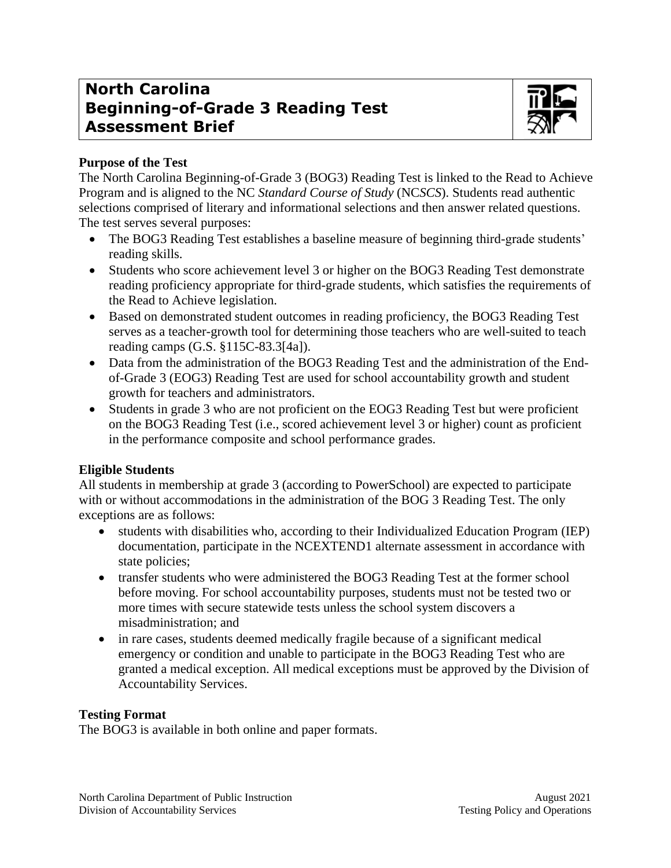# **North Carolina Beginning-of-Grade 3 Reading Test Assessment Brief**



## **Purpose of the Test**

The North Carolina Beginning-of-Grade 3 (BOG3) Reading Test is linked to the Read to Achieve Program and is aligned to the NC *Standard Course of Study* (NC*SCS*). Students read authentic selections comprised of literary and informational selections and then answer related questions. The test serves several purposes:

- The BOG3 Reading Test establishes a baseline measure of beginning third-grade students' reading skills.
- Students who score achievement level 3 or higher on the BOG3 Reading Test demonstrate reading proficiency appropriate for third-grade students, which satisfies the requirements of the Read to Achieve legislation.
- Based on demonstrated student outcomes in reading proficiency, the BOG3 Reading Test serves as a teacher-growth tool for determining those teachers who are well-suited to teach reading camps (G.S. §115C-83.3[4a]).
- Data from the administration of the BOG3 Reading Test and the administration of the Endof-Grade 3 (EOG3) Reading Test are used for school accountability growth and student growth for teachers and administrators.
- Students in grade 3 who are not proficient on the EOG3 Reading Test but were proficient on the BOG3 Reading Test (i.e., scored achievement level 3 or higher) count as proficient in the performance composite and school performance grades.

## **Eligible Students**

All students in membership at grade 3 (according to PowerSchool) are expected to participate with or without accommodations in the administration of the BOG 3 Reading Test. The only exceptions are as follows:

- students with disabilities who, according to their Individualized Education Program (IEP) documentation, participate in the NCEXTEND1 alternate assessment in accordance with state policies;
- transfer students who were administered the BOG3 Reading Test at the former school before moving. For school accountability purposes, students must not be tested two or more times with secure statewide tests unless the school system discovers a misadministration; and
- in rare cases, students deemed medically fragile because of a significant medical emergency or condition and unable to participate in the BOG3 Reading Test who are granted a medical exception. All medical exceptions must be approved by the Division of Accountability Services.

## **Testing Format**

The BOG3 is available in both online and paper formats.